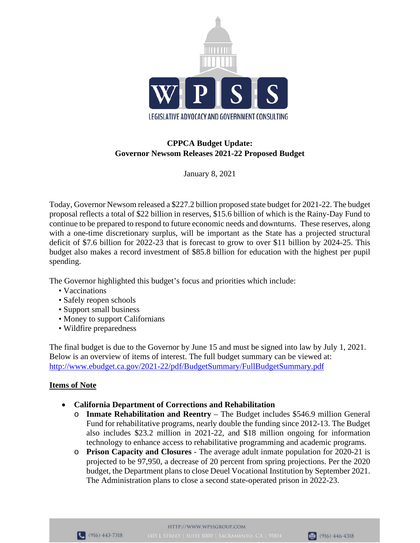

# **CPPCA Budget Update: Governor Newsom Releases 2021-22 Proposed Budget**

January 8, 2021

Today, Governor Newsom released a \$227.2 billion proposed state budget for 2021-22. The budget proposal reflects a total of \$22 billion in reserves, \$15.6 billion of which is the Rainy-Day Fund to continue to be prepared to respond to future economic needs and downturns. These reserves, along with a one-time discretionary surplus, will be important as the State has a projected structural deficit of \$7.6 billion for 2022-23 that is forecast to grow to over \$11 billion by 2024-25. This budget also makes a record investment of \$85.8 billion for education with the highest per pupil spending.

The Governor highlighted this budget's focus and priorities which include:

- Vaccinations
- Safely reopen schools
- Support small business
- Money to support Californians
- Wildfire preparedness

The final budget is due to the Governor by June 15 and must be signed into law by July 1, 2021. Below is an overview of items of interest. The full budget summary can be viewed at: <http://www.ebudget.ca.gov/2021-22/pdf/BudgetSummary/FullBudgetSummary.pdf>

## **Items of Note**

- **California Department of Corrections and Rehabilitation** 
	- o **Inmate Rehabilitation and Reentry** The Budget includes \$546.9 million General Fund for rehabilitative programs, nearly double the funding since 2012-13. The Budget also includes \$23.2 million in 2021-22, and \$18 million ongoing for information technology to enhance access to rehabilitative programming and academic programs.
	- o **Prison Capacity and Closures** The average adult inmate population for 2020-21 is projected to be 97,950, a decrease of 20 percent from spring projections. Per the 2020 budget, the Department plans to close Deuel Vocational Institution by September 2021. The Administration plans to close a second state-operated prison in 2022-23.

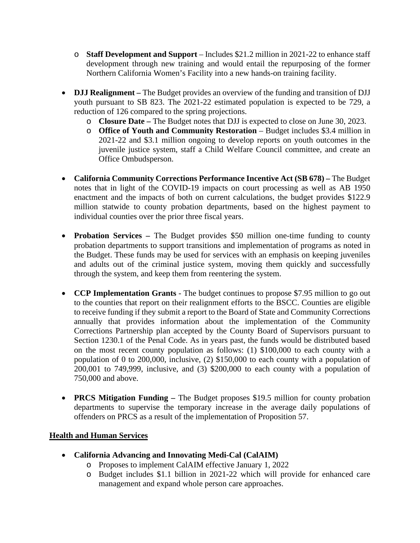- o **Staff Development and Support**  Includes \$21.2 million in 2021-22 to enhance staff development through new training and would entail the repurposing of the former Northern California Women's Facility into a new hands-on training facility.
- **DJJ Realignment –** The Budget provides an overview of the funding and transition of DJJ youth pursuant to SB 823. The 2021-22 estimated population is expected to be 729, a reduction of 126 compared to the spring projections.
	- o **Closure Date –** The Budget notes that DJJ is expected to close on June 30, 2023.
	- o **Office of Youth and Community Restoration**  Budget includes \$3.4 million in 2021-22 and \$3.1 million ongoing to develop reports on youth outcomes in the juvenile justice system, staff a Child Welfare Council committee, and create an Office Ombudsperson.
- **California Community Corrections Performance Incentive Act (SB 678) –** The Budget notes that in light of the COVID-19 impacts on court processing as well as AB 1950 enactment and the impacts of both on current calculations, the budget provides \$122.9 million statwide to county probation departments, based on the highest payment to individual counties over the prior three fiscal years.
- **Probation Services –** The Budget provides \$50 million one-time funding to county probation departments to support transitions and implementation of programs as noted in the Budget. These funds may be used for services with an emphasis on keeping juveniles and adults out of the criminal justice system, moving them quickly and successfully through the system, and keep them from reentering the system.
- **CCP Implementation Grants** The budget continues to propose \$7.95 million to go out to the counties that report on their realignment efforts to the BSCC. Counties are eligible to receive funding if they submit a report to the Board of State and Community Corrections annually that provides information about the implementation of the Community Corrections Partnership plan accepted by the County Board of Supervisors pursuant to Section 1230.1 of the Penal Code. As in years past, the funds would be distributed based on the most recent county population as follows: (1) \$100,000 to each county with a population of 0 to 200,000, inclusive, (2) \$150,000 to each county with a population of 200,001 to 749,999, inclusive, and (3) \$200,000 to each county with a population of 750,000 and above.
- **PRCS Mitigation Funding –** The Budget proposes \$19.5 million for county probation departments to supervise the temporary increase in the average daily populations of offenders on PRCS as a result of the implementation of Proposition 57.

## **Health and Human Services**

- **California Advancing and Innovating Medi-Cal (CalAIM)** 
	- o Proposes to implement CalAIM effective January 1, 2022
	- o Budget includes \$1.1 billion in 2021-22 which will provide for enhanced care management and expand whole person care approaches.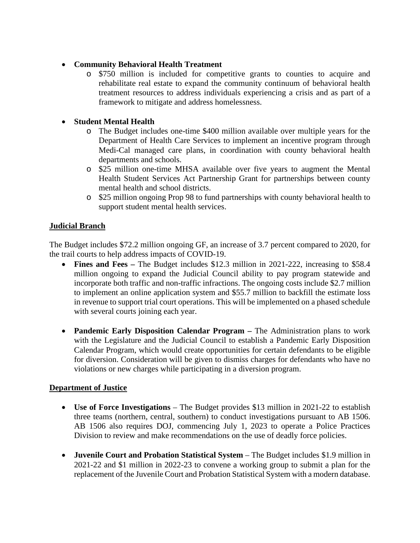### • **Community Behavioral Health Treatment**

o \$750 million is included for competitive grants to counties to acquire and rehabilitate real estate to expand the community continuum of behavioral health treatment resources to address individuals experiencing a crisis and as part of a framework to mitigate and address homelessness.

## • **Student Mental Health**

- o The Budget includes one-time \$400 million available over multiple years for the Department of Health Care Services to implement an incentive program through Medi-Cal managed care plans, in coordination with county behavioral health departments and schools.
- o \$25 million one-time MHSA available over five years to augment the Mental Health Student Services Act Partnership Grant for partnerships between county mental health and school districts.
- o \$25 million ongoing Prop 98 to fund partnerships with county behavioral health to support student mental health services.

### **Judicial Branch**

The Budget includes \$72.2 million ongoing GF, an increase of 3.7 percent compared to 2020, for the trail courts to help address impacts of COVID-19.

- **Fines and Fees –** The Budget includes \$12.3 million in 2021-222, increasing to \$58.4 million ongoing to expand the Judicial Council ability to pay program statewide and incorporate both traffic and non-traffic infractions. The ongoing costs include \$2.7 million to implement an online application system and \$55.7 million to backfill the estimate loss in revenue to support trial court operations. This will be implemented on a phased schedule with several courts joining each year.
- **Pandemic Early Disposition Calendar Program –** The Administration plans to work with the Legislature and the Judicial Council to establish a Pandemic Early Disposition Calendar Program, which would create opportunities for certain defendants to be eligible for diversion. Consideration will be given to dismiss charges for defendants who have no violations or new charges while participating in a diversion program.

### **Department of Justice**

- **Use of Force Investigations** The Budget provides \$13 million in 2021-22 to establish three teams (northern, central, southern) to conduct investigations pursuant to AB 1506. AB 1506 also requires DOJ, commencing July 1, 2023 to operate a Police Practices Division to review and make recommendations on the use of deadly force policies.
- **Juvenile Court and Probation Statistical System** The Budget includes \$1.9 million in 2021-22 and \$1 million in 2022-23 to convene a working group to submit a plan for the replacement of the Juvenile Court and Probation Statistical System with a modern database.